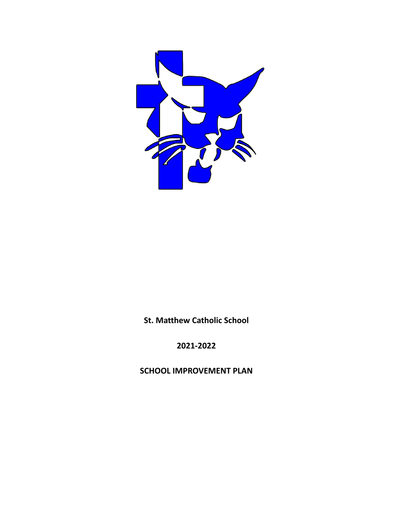

**St. Matthew Catholic School**

**2021-2022**

**SCHOOL IMPROVEMENT PLAN**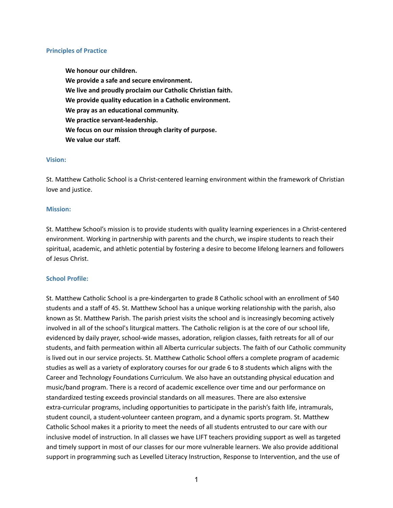# **Principles of Practice**

**We honour our children. We provide a safe and secure environment. We live and proudly proclaim our Catholic Christian faith. We provide quality education in a Catholic environment. We pray as an educational community. We practice servant-leadership. We focus on our mission through clarity of purpose. We value our staff.**

#### **Vision:**

St. Matthew Catholic School is a Christ-centered learning environment within the framework of Christian love and justice.

# **Mission:**

St. Matthew School's mission is to provide students with quality learning experiences in a Christ-centered environment. Working in partnership with parents and the church, we inspire students to reach their spiritual, academic, and athletic potential by fostering a desire to become lifelong learners and followers of Jesus Christ.

# **School Profile:**

St. Matthew Catholic School is a pre-kindergarten to grade 8 Catholic school with an enrollment of 540 students and a staff of 45. St. Matthew School has a unique working relationship with the parish, also known as St. Matthew Parish. The parish priest visits the school and is increasingly becoming actively involved in all of the school's liturgical matters. The Catholic religion is at the core of our school life, evidenced by daily prayer, school-wide masses, adoration, religion classes, faith retreats for all of our students, and faith permeation within all Alberta curricular subjects. The faith of our Catholic community is lived out in our service projects. St. Matthew Catholic School offers a complete program of academic studies as well as a variety of exploratory courses for our grade 6 to 8 students which aligns with the Career and Technology Foundations Curriculum. We also have an outstanding physical education and music/band program. There is a record of academic excellence over time and our performance on standardized testing exceeds provincial standards on all measures. There are also extensive extra-curricular programs, including opportunities to participate in the parish's faith life, intramurals, student council, a student-volunteer canteen program, and a dynamic sports program. St. Matthew Catholic School makes it a priority to meet the needs of all students entrusted to our care with our inclusive model of instruction. In all classes we have LIFT teachers providing support as well as targeted and timely support in most of our classes for our more vulnerable learners. We also provide additional support in programming such as Levelled Literacy Instruction, Response to Intervention, and the use of

1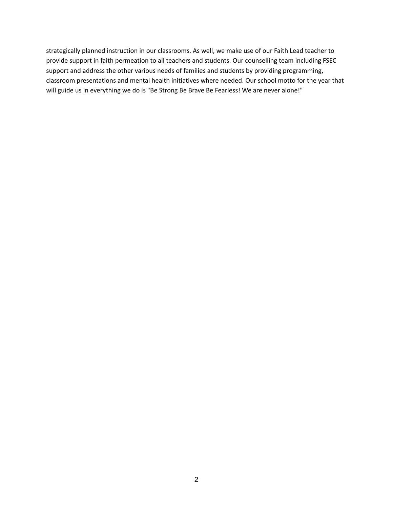strategically planned instruction in our classrooms. As well, we make use of our Faith Lead teacher to provide support in faith permeation to all teachers and students. Our counselling team including FSEC support and address the other various needs of families and students by providing programming, classroom presentations and mental health initiatives where needed. Our school motto for the year that will guide us in everything we do is "Be Strong Be Brave Be Fearless! We are never alone!"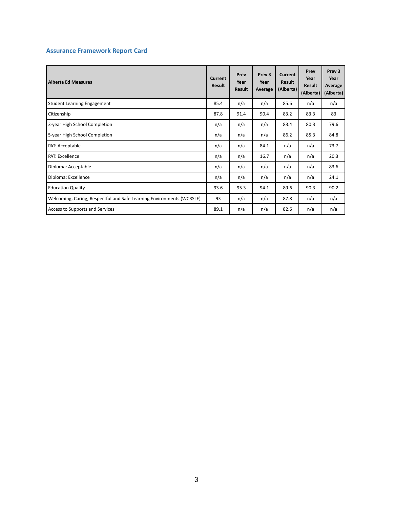# **Assurance Framework Report Card**

| Alberta Ed Measures                                                   | Current<br><b>Result</b> | Prev<br>Year<br><b>Result</b> | Prev <sub>3</sub><br>Year<br>Average | Current<br><b>Result</b><br>(Alberta) | Prev<br>Year<br>Result<br>(Alberta) | Prev <sub>3</sub><br>Year<br>Average<br>(Alberta) |
|-----------------------------------------------------------------------|--------------------------|-------------------------------|--------------------------------------|---------------------------------------|-------------------------------------|---------------------------------------------------|
| <b>Student Learning Engagement</b>                                    | 85.4                     | n/a                           | n/a                                  | 85.6                                  | n/a                                 | n/a                                               |
| Citizenship                                                           | 87.8                     | 91.4                          | 90.4                                 | 83.2                                  | 83.3                                | 83                                                |
| 3-year High School Completion                                         | n/a                      | n/a                           | n/a                                  | 83.4                                  | 80.3                                | 79.6                                              |
| 5-year High School Completion                                         | n/a                      | n/a                           | n/a                                  | 86.2                                  | 85.3                                | 84.8                                              |
| PAT: Acceptable                                                       | n/a                      | n/a                           | 84.1                                 | n/a                                   | n/a                                 | 73.7                                              |
| PAT: Excellence                                                       | n/a                      | n/a                           | 16.7                                 | n/a                                   | n/a                                 | 20.3                                              |
| Diploma: Acceptable                                                   | n/a                      | n/a                           | n/a                                  | n/a                                   | n/a                                 | 83.6                                              |
| Diploma: Excellence                                                   | n/a                      | n/a                           | n/a                                  | n/a                                   | n/a                                 | 24.1                                              |
| <b>Education Quality</b>                                              | 93.6                     | 95.3                          | 94.1                                 | 89.6                                  | 90.3                                | 90.2                                              |
| Welcoming, Caring, Respectful and Safe Learning Environments (WCRSLE) | 93                       | n/a                           | n/a                                  | 87.8                                  | n/a                                 | n/a                                               |
| Access to Supports and Services                                       | 89.1                     | n/a                           | n/a                                  | 82.6                                  | n/a                                 | n/a                                               |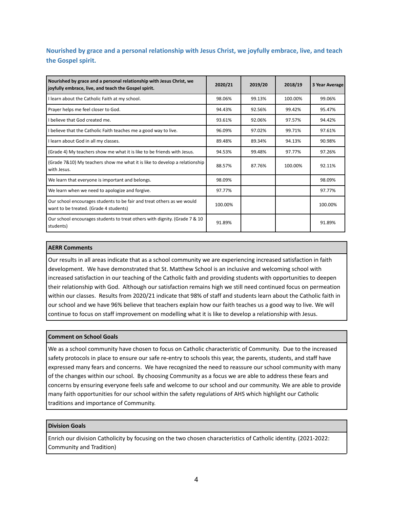**Nourished by grace and a personal relationship with Jesus Christ, we joyfully embrace, live, and teach the Gospel spirit.**

| Nourished by grace and a personal relationship with Jesus Christ, we<br>joyfully embrace, live, and teach the Gospel spirit. | 2020/21 | 2019/20 | 2018/19 | 3 Year Average |
|------------------------------------------------------------------------------------------------------------------------------|---------|---------|---------|----------------|
| I learn about the Catholic Faith at my school.                                                                               | 98.06%  | 99.13%  | 100.00% | 99.06%         |
| Prayer helps me feel closer to God.                                                                                          | 94.43%  | 92.56%  | 99.42%  | 95.47%         |
| I believe that God created me.                                                                                               | 93.61%  | 92.06%  | 97.57%  | 94.42%         |
| I believe that the Catholic Faith teaches me a good way to live.                                                             | 96.09%  | 97.02%  | 99.71%  | 97.61%         |
| I learn about God in all my classes.                                                                                         | 89.48%  | 89.34%  | 94.13%  | 90.98%         |
| (Grade 4) My teachers show me what it is like to be friends with Jesus.                                                      | 94.53%  | 99.48%  | 97.77%  | 97.26%         |
| (Grade 7&10) My teachers show me what it is like to develop a relationship<br>with Jesus.                                    | 88.57%  | 87.76%  | 100.00% | 92.11%         |
| We learn that everyone is important and belongs.                                                                             | 98.09%  |         |         | 98.09%         |
| We learn when we need to apologize and forgive.                                                                              | 97.77%  |         |         | 97.77%         |
| Our school encourages students to be fair and treat others as we would<br>want to be treated. (Grade 4 students)             | 100.00% |         |         | 100.00%        |
| Our school encourages students to treat others with dignity. (Grade 7 & 10)<br>students)                                     | 91.89%  |         |         | 91.89%         |

# **AERR Comments**

Our results in all areas indicate that as a school community we are experiencing increased satisfaction in faith development. We have demonstrated that St. Matthew School is an inclusive and welcoming school with increased satisfaction in our teaching of the Catholic faith and providing students with opportunities to deepen their relationship with God. Although our satisfaction remains high we still need continued focus on permeation within our classes. Results from 2020/21 indicate that 98% of staff and students learn about the Catholic faith in our school and we have 96% believe that teachers explain how our faith teaches us a good way to live. We will continue to focus on staff improvement on modelling what it is like to develop a relationship with Jesus.

# **Comment on School Goals**

We as a school community have chosen to focus on Catholic characteristic of Community. Due to the increased safety protocols in place to ensure our safe re-entry to schools this year, the parents, students, and staff have expressed many fears and concerns. We have recognized the need to reassure our school community with many of the changes within our school. By choosing Community as a focus we are able to address these fears and concerns by ensuring everyone feels safe and welcome to our school and our community. We are able to provide many faith opportunities for our school within the safety regulations of AHS which highlight our Catholic traditions and importance of Community.

# **Division Goals**

Enrich our division Catholicity by focusing on the two chosen characteristics of Catholic identity. (2021-2022: Community and Tradition)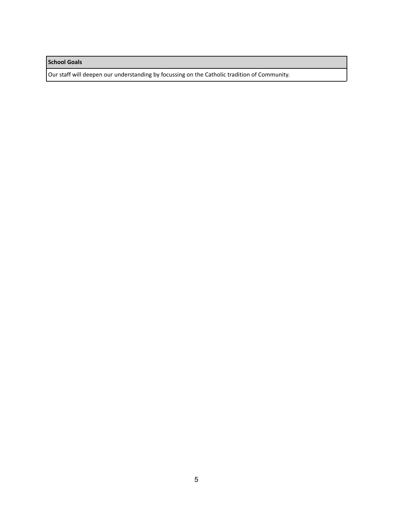**School Goals**

Our staff will deepen our understanding by focussing on the Catholic tradition of Community.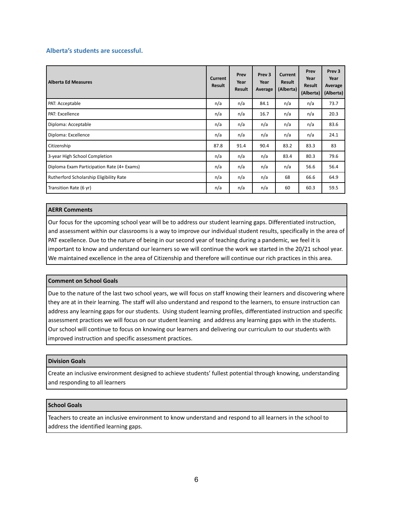# **Alberta's students are successful.**

| <b>Alberta Ed Measures</b>                 | Current<br><b>Result</b> | Prev<br>Year<br>Result | Prev <sub>3</sub><br>Year<br>Average | Current<br><b>Result</b><br>(Alberta) | Prev<br>Year<br><b>Result</b><br>(Alberta) | Prev <sub>3</sub><br>Year<br>Average<br>(Alberta) |
|--------------------------------------------|--------------------------|------------------------|--------------------------------------|---------------------------------------|--------------------------------------------|---------------------------------------------------|
| PAT: Acceptable                            | n/a                      | n/a                    | 84.1                                 | n/a                                   | n/a                                        | 73.7                                              |
| PAT: Excellence                            | n/a                      | n/a                    | 16.7                                 | n/a                                   | n/a                                        | 20.3                                              |
| Diploma: Acceptable                        | n/a                      | n/a                    | n/a                                  | n/a                                   | n/a                                        | 83.6                                              |
| Diploma: Excellence                        | n/a                      | n/a                    | n/a                                  | n/a                                   | n/a                                        | 24.1                                              |
| Citizenship                                | 87.8                     | 91.4                   | 90.4                                 | 83.2                                  | 83.3                                       | 83                                                |
| 3-year High School Completion              | n/a                      | n/a                    | n/a                                  | 83.4                                  | 80.3                                       | 79.6                                              |
| Diploma Exam Participation Rate (4+ Exams) | n/a                      | n/a                    | n/a                                  | n/a                                   | 56.6                                       | 56.4                                              |
| Rutherford Scholarship Eligibility Rate    | n/a                      | n/a                    | n/a                                  | 68                                    | 66.6                                       | 64.9                                              |
| Transition Rate (6 yr)                     | n/a                      | n/a                    | n/a                                  | 60                                    | 60.3                                       | 59.5                                              |

# **AERR Comments**

Our focus for the upcoming school year will be to address our student learning gaps. Differentiated instruction, and assessment within our classrooms is a way to improve our individual student results, specifically in the area of PAT excellence. Due to the nature of being in our second year of teaching during a pandemic, we feel it is important to know and understand our learners so we will continue the work we started in the 20/21 school year. We maintained excellence in the area of Citizenship and therefore will continue our rich practices in this area.

#### **Comment on School Goals**

Due to the nature of the last two school years, we will focus on staff knowing their learners and discovering where they are at in their learning. The staff will also understand and respond to the learners, to ensure instruction can address any learning gaps for our students. Using student learning profiles, differentiated instruction and specific assessment practices we will focus on our student learning and address any learning gaps with in the students. Our school will continue to focus on knowing our learners and delivering our curriculum to our students with improved instruction and specific assessment practices.

#### **Division Goals**

Create an inclusive environment designed to achieve students' fullest potential through knowing, understanding and responding to all learners

#### **School Goals**

Teachers to create an inclusive environment to know understand and respond to all learners in the school to address the identified learning gaps.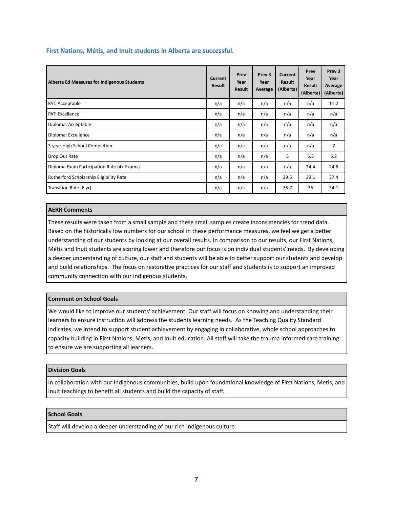| First Nations, Métis, and Inuit students in Alberta are successful. |  |  |  |  |  |  |  |  |
|---------------------------------------------------------------------|--|--|--|--|--|--|--|--|
|---------------------------------------------------------------------|--|--|--|--|--|--|--|--|

| <b>Alberta Ed Measures for Indigenous Students</b> | Current<br><b>Result</b> | Prev<br>Year<br><b>Result</b> | Prev <sub>3</sub><br>Year<br>Average | Current<br><b>Result</b><br>(Alberta) | Prev<br>Year<br>Result<br>(Alberta) | Prev <sub>3</sub><br>Year<br>Average<br>(Alberta) |
|----------------------------------------------------|--------------------------|-------------------------------|--------------------------------------|---------------------------------------|-------------------------------------|---------------------------------------------------|
| PAT: Acceptable                                    | n/a                      | n/a                           | n/a                                  | n/a                                   | n/a                                 | 11.2                                              |
| <b>PAT: Excellence</b>                             | n/a                      | n/a                           | n/a                                  | n/a                                   | n/a                                 | n/a                                               |
| Diploma: Acceptable                                | n/a                      | n/a                           | n/a                                  | n/a                                   | n/a                                 | n/a                                               |
| Diploma: Excellence                                | n/a                      | n/a                           | n/a                                  | n/a                                   | n/a                                 | n/a                                               |
| 3-year High School Completion                      | n/a                      | n/a                           | n/a                                  | n/a                                   | n/a                                 | 7                                                 |
| Drop Out Rate                                      | n/a                      | n/a                           | n/a                                  | 5                                     | 5.5                                 | 5.2                                               |
| Diploma Exam Participation Rate (4+ Exams)         | n/a                      | n/a                           | n/a                                  | n/a                                   | 24.4                                | 24.6                                              |
| Rutherford Scholarship Eligibility Rate            | n/a                      | n/a                           | n/a                                  | 39.5                                  | 39.1                                | 37.4                                              |
| Transition Rate (6 yr)                             | n/a                      | n/a                           | n/a                                  | 35.7                                  | 35                                  | 34.1                                              |

# **AERR Comments**

These results were taken from a small sample and these small samples create inconsistencies for trend data. Based on the historically low numbers for our school in these performance measures, we feel we get a better understanding of our students by looking at our overall results. In comparison to our results, our First Nations, Métis and Inuit students are scoring lower and therefore our focus is on individual students' needs. By developing a deeper understanding of culture, our staff and students will be able to better support our students and develop and build relationships. The focus on restorative practices for our staff and students is to support an improved community connection with our indigenous students.

#### **Comment on School Goals**

We would like to improve our students' achievement. Our staff will focus on knowing and understanding their learners to ensure instruction will address the students learning needs. As the Teaching Quality Standard indicates, we intend to support student achievement by engaging in collaborative, whole school approaches to capacity building in First Nations, Métis, and Inuit education. All staff will take the trauma informed care training to ensure we are supporting all learners.

# **Division Goals**

In collaboration with our Indigenous communities, build upon foundational knowledge of First Nations, Metis, and Inuit teachings to benefit all students and build the capacity of staff.

# **School Goals**

Staff will develop a deeper understanding of our rich Indigenous culture.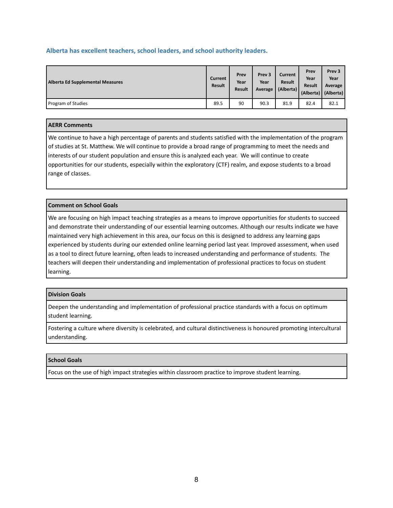# **Alberta has excellent teachers, school leaders, and school authority leaders.**

| Alberta Ed Supplemental Measures | Current<br>Result | Prev<br>Year<br><b>Result</b> | Prev <sub>3</sub><br>Year<br>Average | Current<br><b>Result</b><br>(Alberta) | Prev<br>Year<br><b>Result</b> | Prev <sub>3</sub><br>Year<br>Average<br>(Alberta)   (Alberta) |
|----------------------------------|-------------------|-------------------------------|--------------------------------------|---------------------------------------|-------------------------------|---------------------------------------------------------------|
| Program of Studies               | 89.5              | 90                            | 90.3                                 | 81.9                                  | 82.4                          | 82.1                                                          |

#### **AERR Comments**

We continue to have a high percentage of parents and students satisfied with the implementation of the program of studies at St. Matthew. We will continue to provide a broad range of programming to meet the needs and interests of our student population and ensure this is analyzed each year. We will continue to create opportunities for our students, especially within the exploratory (CTF) realm, and expose students to a broad range of classes.

# **Comment on School Goals**

We are focusing on high impact teaching strategies as a means to improve opportunities for students to succeed and demonstrate their understanding of our essential learning outcomes. Although our results indicate we have maintained very high achievement in this area, our focus on this is designed to address any learning gaps experienced by students during our extended online learning period last year. Improved assessment, when used as a tool to direct future learning, often leads to increased understanding and performance of students. The teachers will deepen their understanding and implementation of professional practices to focus on student learning.

# **Division Goals**

Deepen the understanding and implementation of professional practice standards with a focus on optimum student learning.

Fostering a culture where diversity is celebrated, and cultural distinctiveness is honoured promoting intercultural understanding.

#### **School Goals**

Focus on the use of high impact strategies within classroom practice to improve student learning.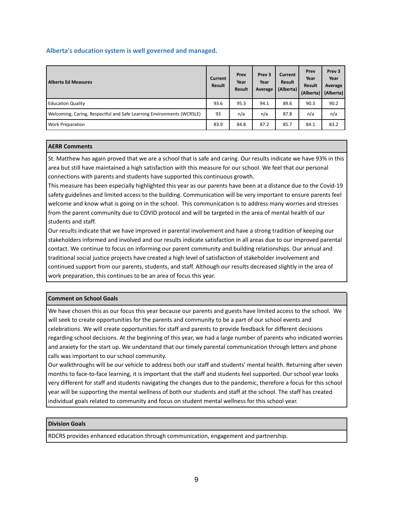# **Alberta's education system is well governed and managed.**

| Alberta Ed Measures                                                   | Current<br><b>Result</b> | Prev<br>Year<br><b>Result</b> | Prev <sub>3</sub><br>Year<br>Average | Current<br><b>Result</b><br>(Alberta) | Prev<br>Year<br><b>Result</b><br>(Alberta) | Prev <sub>3</sub><br>Year<br>Average<br>(Alberta) |
|-----------------------------------------------------------------------|--------------------------|-------------------------------|--------------------------------------|---------------------------------------|--------------------------------------------|---------------------------------------------------|
| <b>Education Quality</b>                                              | 93.6                     | 95.3                          | 94.1                                 | 89.6                                  | 90.3                                       | 90.2                                              |
| Welcoming, Caring, Respectful and Safe Learning Environments (WCRSLE) | 93                       | n/a                           | n/a                                  | 87.8                                  | n/a                                        | n/a                                               |
| <b>Work Preparation</b>                                               | 83.9                     | 84.8                          | 87.2                                 | 85.7                                  | 84.1                                       | 83.2                                              |

# **AERR Comments**

St. Matthew has again proved that we are a school that is safe and caring. Our results indicate we have 93% in this area but still have maintained a high satisfaction with this measure for our school. We feel that our personal connections with parents and students have supported this continuous growth.

This measure has been especially highlighted this year as our parents have been at a distance due to the Covid-19 safety guidelines and limited access to the building. Communication will be very important to ensure parents feel welcome and know what is going on in the school. This communication is to address many worries and stresses from the parent community due to COVID protocol and will be targeted in the area of mental health of our students and staff.

Our results indicate that we have improved in parental involvement and have a strong tradition of keeping our stakeholders informed and involved and our results indicate satisfaction in all areas due to our improved parental contact. We continue to focus on informing our parent community and building relationships. Our annual and traditional social justice projects have created a high level of satisfaction of stakeholder involvement and continued support from our parents, students, and staff. Although our results decreased slightly in the area of work preparation, this continues to be an area of focus this year.

# **Comment on School Goals**

We have chosen this as our focus this year because our parents and guests have limited access to the school. We will seek to create opportunities for the parents and community to be a part of our school events and celebrations. We will create opportunities for staff and parents to provide feedback for different decisions regarding school decisions. At the beginning of this year, we had a large number of parents who indicated worries and anxiety for the start up. We understand that our timely parental communication through letters and phone calls was important to our school community.

Our walkthroughs will be our vehicle to address both our staff and students' mental health. Returning after seven months to face-to-face learning, it is important that the staff and students feel supported. Our school year looks very different for staff and students navigating the changes due to the pandemic, therefore a focus for this school year will be supporting the mental wellness of both our students and staff at the school. The staff has created individual goals related to community and focus on student mental wellness for this school year.

# **Division Goals**

RDCRS provides enhanced education through communication, engagement and partnership.